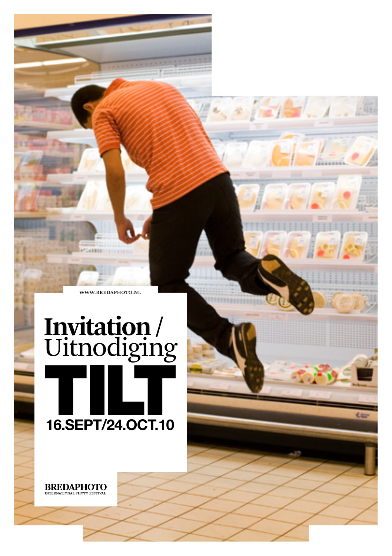WWW.BREDAPHOTO.NL

**SEES** 

# **Invitation /** Uitnodiging **16.SEPT/24.OCT.10**

**BREDAPHOTO**